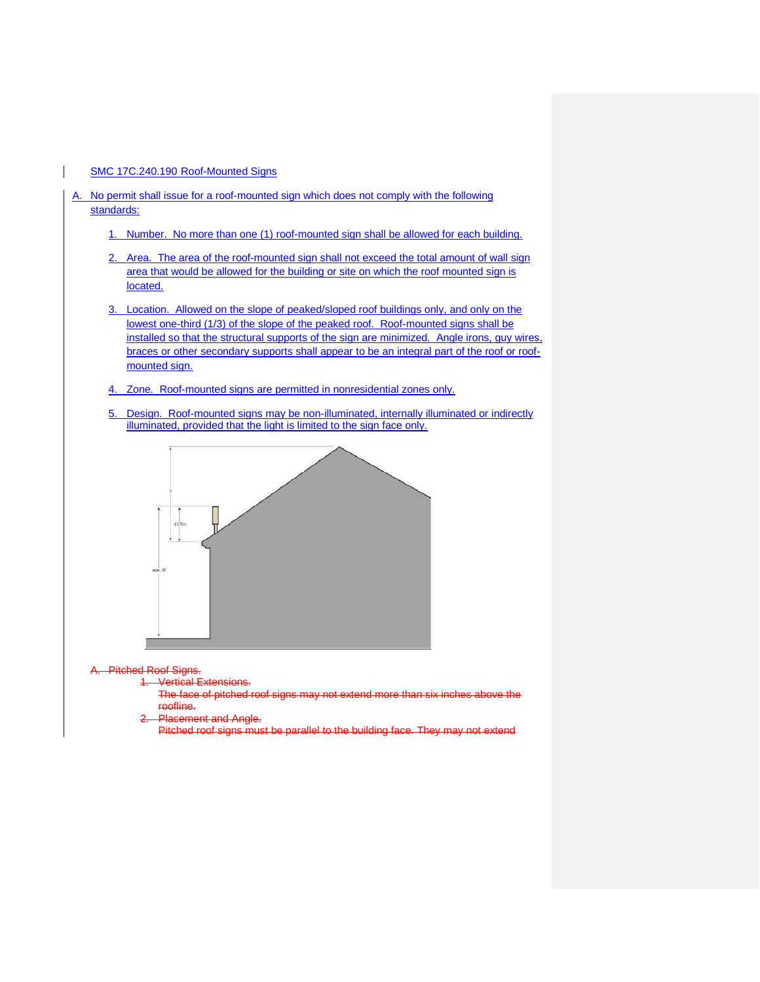#### SMC 17C.240.190 Roof-Mounted Signs

- A. No permit shall issue for a roof-mounted sign which does not comply with the following standards:
	- 1. Number. No more than one (1) roof-mounted sign shall be allowed for each building.
	- 2. Area. The area of the roof-mounted sign shall not exceed the total amount of wall sign area that would be allowed for the building or site on which the roof mounted sign is located.
	- 3. Location. Allowed on the slope of peaked/sloped roof buildings only, and only on the lowest one-third (1/3) of the slope of the peaked roof. Roof-mounted signs shall be installed so that the structural supports of the sign are minimized. Angle irons, guy wires, braces or other secondary supports shall appear to be an integral part of the roof or roofmounted sign.
	- 4. Zone. Roof-mounted signs are permitted in nonresidential zones only.
	- 5. Design. Roof-mounted signs may be non-illuminated, internally illuminated or indirectly illuminated, provided that the light is limited to the sign face only.



Pitched Roof Signs.

Vertical Extensions.

The face of pitched roof signs may not extend more than six inches above the roofline.

- Placement and Angle.
	- Pitched roof signs must be parallel to the building face. They may not extend